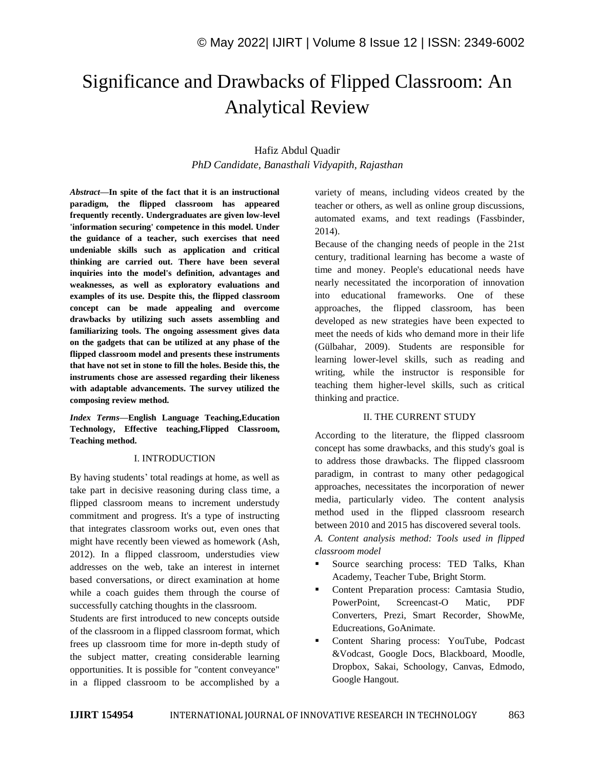# Significance and Drawbacks of Flipped Classroom: An Analytical Review

## Hafiz Abdul Quadir *PhD Candidate, Banasthali Vidyapith, Rajasthan*

*Abstract—***In spite of the fact that it is an instructional paradigm, the flipped classroom has appeared frequently recently. Undergraduates are given low-level 'information securing' competence in this model. Under the guidance of a teacher, such exercises that need undeniable skills such as application and critical thinking are carried out. There have been several inquiries into the model's definition, advantages and weaknesses, as well as exploratory evaluations and examples of its use. Despite this, the flipped classroom concept can be made appealing and overcome drawbacks by utilizing such assets assembling and familiarizing tools. The ongoing assessment gives data on the gadgets that can be utilized at any phase of the flipped classroom model and presents these instruments that have not set in stone to fill the holes. Beside this, the instruments chose are assessed regarding their likeness with adaptable advancements. The survey utilized the composing review method.** 

*Index Terms—***English Language Teaching,Education Technology, Effective teaching,Flipped Classroom, Teaching method.**

#### I. INTRODUCTION

By having students' total readings at home, as well as take part in decisive reasoning during class time, a flipped classroom means to increment understudy commitment and progress. It's a type of instructing that integrates classroom works out, even ones that might have recently been viewed as homework (Ash, 2012). In a flipped classroom, understudies view addresses on the web, take an interest in internet based conversations, or direct examination at home while a coach guides them through the course of successfully catching thoughts in the classroom.

Students are first introduced to new concepts outside of the classroom in a flipped classroom format, which frees up classroom time for more in-depth study of the subject matter, creating considerable learning opportunities. It is possible for "content conveyance" in a flipped classroom to be accomplished by a variety of means, including videos created by the teacher or others, as well as online group discussions, automated exams, and text readings (Fassbinder, 2014).

Because of the changing needs of people in the 21st century, traditional learning has become a waste of time and money. People's educational needs have nearly necessitated the incorporation of innovation into educational frameworks. One of these approaches, the flipped classroom, has been developed as new strategies have been expected to meet the needs of kids who demand more in their life (Gülbahar, 2009). Students are responsible for learning lower-level skills, such as reading and writing, while the instructor is responsible for teaching them higher-level skills, such as critical thinking and practice.

#### II. THE CURRENT STUDY

According to the literature, the flipped classroom concept has some drawbacks, and this study's goal is to address those drawbacks. The flipped classroom paradigm, in contrast to many other pedagogical approaches, necessitates the incorporation of newer media, particularly video. The content analysis method used in the flipped classroom research between 2010 and 2015 has discovered several tools.

*A. Content analysis method: Tools used in flipped classroom model*

- Source searching process: TED Talks, Khan Academy, Teacher Tube, Bright Storm.
- Content Preparation process: Camtasia Studio, PowerPoint, Screencast-O Matic, PDF Converters, Prezi, Smart Recorder, ShowMe, Educreations, GoAnimate.
- Content Sharing process: YouTube, Podcast &Vodcast, Google Docs, Blackboard, Moodle, Dropbox, Sakai, Schoology, Canvas, Edmodo, Google Hangout.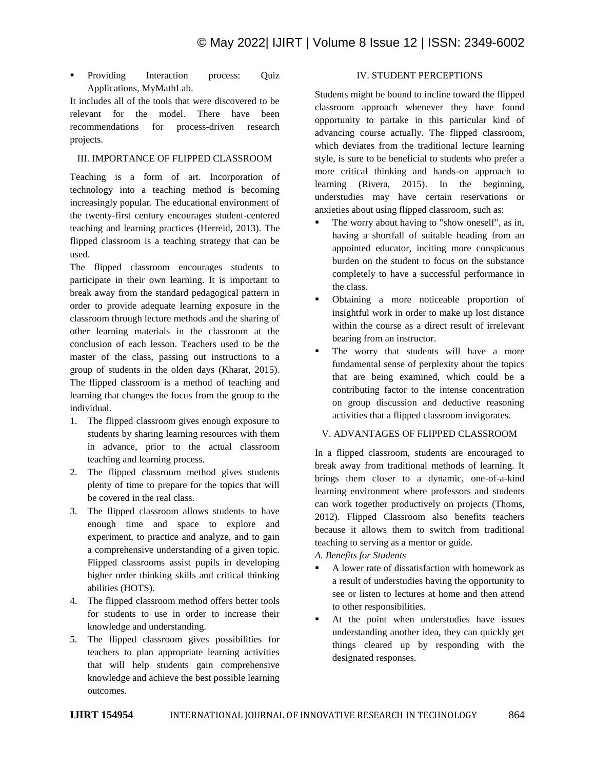Providing Interaction process: Quiz Applications, MyMathLab.

It includes all of the tools that were discovered to be relevant for the model. There have been recommendations for process-driven research projects.

#### III. IMPORTANCE OF FLIPPED CLASSROOM

Teaching is a form of art. Incorporation of technology into a teaching method is becoming increasingly popular. The educational environment of the twenty-first century encourages student-centered teaching and learning practices (Herreid, 2013). The flipped classroom is a teaching strategy that can be used.

The flipped classroom encourages students to participate in their own learning. It is important to break away from the standard pedagogical pattern in order to provide adequate learning exposure in the classroom through lecture methods and the sharing of other learning materials in the classroom at the conclusion of each lesson. Teachers used to be the master of the class, passing out instructions to a group of students in the olden days (Kharat, 2015). The flipped classroom is a method of teaching and learning that changes the focus from the group to the individual.

- 1. The flipped classroom gives enough exposure to students by sharing learning resources with them in advance, prior to the actual classroom teaching and learning process.
- 2. The flipped classroom method gives students plenty of time to prepare for the topics that will be covered in the real class.
- 3. The flipped classroom allows students to have enough time and space to explore and experiment, to practice and analyze, and to gain a comprehensive understanding of a given topic. Flipped classrooms assist pupils in developing higher order thinking skills and critical thinking abilities (HOTS).
- 4. The flipped classroom method offers better tools for students to use in order to increase their knowledge and understanding.
- 5. The flipped classroom gives possibilities for teachers to plan appropriate learning activities that will help students gain comprehensive knowledge and achieve the best possible learning outcomes.

## IV. STUDENT PERCEPTIONS

Students might be bound to incline toward the flipped classroom approach whenever they have found opportunity to partake in this particular kind of advancing course actually. The flipped classroom, which deviates from the traditional lecture learning style, is sure to be beneficial to students who prefer a more critical thinking and hands-on approach to learning (Rivera, 2015). In the beginning, understudies may have certain reservations or anxieties about using flipped classroom, such as:

- The worry about having to "show oneself", as in, having a shortfall of suitable heading from an appointed educator, inciting more conspicuous burden on the student to focus on the substance completely to have a successful performance in the class.
- Obtaining a more noticeable proportion of insightful work in order to make up lost distance within the course as a direct result of irrelevant bearing from an instructor.
- The worry that students will have a more fundamental sense of perplexity about the topics that are being examined, which could be a contributing factor to the intense concentration on group discussion and deductive reasoning activities that a flipped classroom invigorates.

#### V. ADVANTAGES OF FLIPPED CLASSROOM

In a flipped classroom, students are encouraged to break away from traditional methods of learning. It brings them closer to a dynamic, one-of-a-kind learning environment where professors and students can work together productively on projects (Thoms, 2012). Flipped Classroom also benefits teachers because it allows them to switch from traditional teaching to serving as a mentor or guide.

## *A. Benefits for Students*

- A lower rate of dissatisfaction with homework as a result of understudies having the opportunity to see or listen to lectures at home and then attend to other responsibilities.
- At the point when understudies have issues understanding another idea, they can quickly get things cleared up by responding with the designated responses.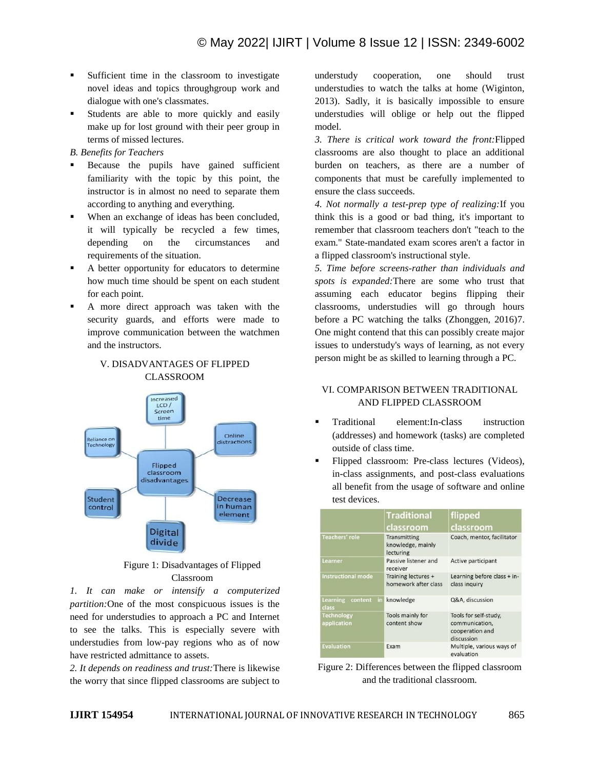- Sufficient time in the classroom to investigate novel ideas and topics throughgroup work and dialogue with one's classmates.
- Students are able to more quickly and easily make up for lost ground with their peer group in terms of missed lectures.

*B. Benefits for Teachers*

- Because the pupils have gained sufficient familiarity with the topic by this point, the instructor is in almost no need to separate them according to anything and everything.
- When an exchange of ideas has been concluded, it will typically be recycled a few times, depending on the circumstances and requirements of the situation.
- A better opportunity for educators to determine how much time should be spent on each student for each point.
- A more direct approach was taken with the security guards, and efforts were made to improve communication between the watchmen and the instructors.

# V. DISADVANTAGES OF FLIPPED CLASSROOM



Figure 1: Disadvantages of Flipped Classroom

*1. It can make or intensify a computerized partition:*One of the most conspicuous issues is the need for understudies to approach a PC and Internet to see the talks. This is especially severe with understudies from low-pay regions who as of now have restricted admittance to assets.

*2. It depends on readiness and trust:*There is likewise the worry that since flipped classrooms are subject to

understudy cooperation, one should trust understudies to watch the talks at home (Wiginton, 2013). Sadly, it is basically impossible to ensure understudies will oblige or help out the flipped model.

*3. There is critical work toward the front:*Flipped classrooms are also thought to place an additional burden on teachers, as there are a number of components that must be carefully implemented to ensure the class succeeds.

*4. Not normally a test-prep type of realizing:*If you think this is a good or bad thing, it's important to remember that classroom teachers don't "teach to the exam." State-mandated exam scores aren't a factor in a flipped classroom's instructional style.

*5. Time before screens-rather than individuals and spots is expanded:*There are some who trust that assuming each educator begins flipping their classrooms, understudies will go through hours before a PC watching the talks (Zhonggen, 2016)7. One might contend that this can possibly create major issues to understudy's ways of learning, as not every person might be as skilled to learning through a PC.

## VI. COMPARISON BETWEEN TRADITIONAL AND FLIPPED CLASSROOM

- Traditional element:In-class instruction (addresses) and homework (tasks) are completed outside of class time.
- Flipped classroom: Pre-class lectures (Videos), in-class assignments, and post-class evaluations all benefit from the usage of software and online test devices.

|                                           | <b>Traditional</b><br>classroom                       | flipped<br>classroom                                                     |
|-------------------------------------------|-------------------------------------------------------|--------------------------------------------------------------------------|
| <b>Teachers' role</b>                     | <b>Transmitting</b><br>knowledge, mainly<br>lecturing | Coach, mentor, facilitator                                               |
| <b>Learner</b>                            | Passive listener and<br>receiver                      | Active participant                                                       |
| <b>Instructional mode</b>                 | Training lectures +<br>homework after class           | Learning before class + in-<br>class inquiry                             |
| <b>Learning</b><br>content<br>in<br>class | knowledge                                             | Q&A, discussion                                                          |
| <b>Technology</b><br>application          | Tools mainly for<br>content show                      | Tools for self-study,<br>communication,<br>cooperation and<br>discussion |
| <b>Evaluation</b>                         | Exam                                                  | Multiple, various ways of<br>evaluation                                  |

Figure 2: Differences between the flipped classroom and the traditional classroom.